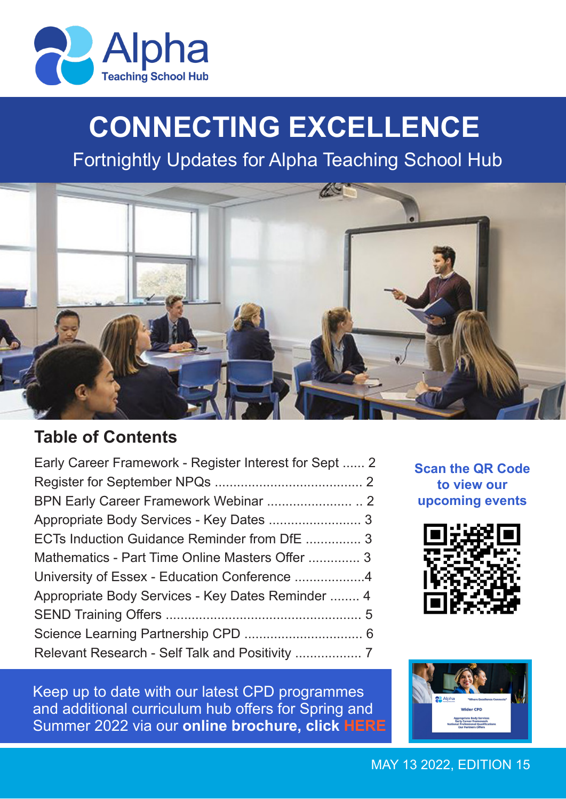

# **CONNECTING EXCELLENCE**

Fortnightly Updates for Alpha Teaching School Hub



# **Table of Contents**

| Early Career Framework - Register Interest for Sept  2 |  |
|--------------------------------------------------------|--|
|                                                        |  |
|                                                        |  |
|                                                        |  |
| ECTs Induction Guidance Reminder from DfE  3           |  |
| Mathematics - Part Time Online Masters Offer  3        |  |
|                                                        |  |
| Appropriate Body Services - Key Dates Reminder  4      |  |
|                                                        |  |
|                                                        |  |
|                                                        |  |

**to view our upcoming events** 

**Scan the QR Code** 



Keep up to date with our latest CPD programmes and additional curriculum hub offers for Spring and Summer 2022 via our **online brochure, click [HERE](https://read.bookcreator.com/y9siz771rHSYyEaiURYZ5f9zSGA3/7myo_EeOTyuW8G-eO8oezw)**

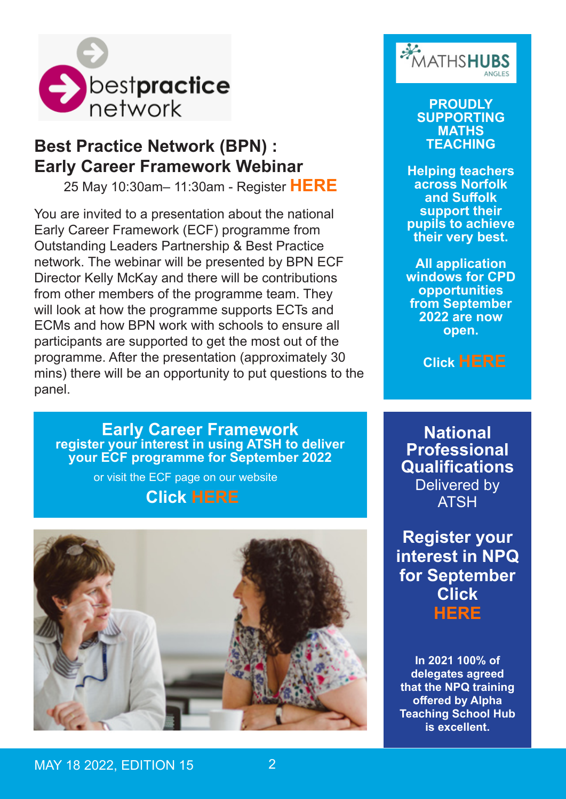

## **Best Practice Network (BPN) : Early Career Framework Webinar**

25 May 10:30am– 11:30am - Register **[HERE](https://www.bestpracticenet.co.uk/early-career-framework)**

You are invited to a presentation about the national Early Career Framework (ECF) programme from Outstanding Leaders Partnership & Best Practice network. The webinar will be presented by BPN ECF Director Kelly McKay and there will be contributions from other members of the programme team. They will look at how the programme supports ECTs and ECMs and how BPN work with schools to ensure all participants are supported to get the most out of the programme. After the presentation (approximately 30 mins) there will be an opportunity to put questions to the panel.

**Early Career Framework register your interest in using ATSH to deliver your ECF programme for September 2022**

or visit the ECF page on our website

## **Click [HERE](https://www.alphatsh.org/early-careers-fr.mework )**





**PROUDLY SUPPORTING MATHS TEACHING**

**Helping teachers across Norfolk and Suffolk support their pupils to achieve their very best.** 

**All application windows for CPD opportunities from September 2022 are now open.** 

 **Click [HERE](https://www.anglesmathshub.org/)**

**National Professional Qualifications** Delivered by ATSH

**Register your interest in NPQ for September Click [HERE](https://ccms.bpnsystems.net/applications/index.php?programme_id=50®ister_interest=1)**

**In 2021 100% of delegates agreed that the NPQ training offered by Alpha Teaching School Hub is excellent.**

MAY 18 2022, **EDITION 15 22 22**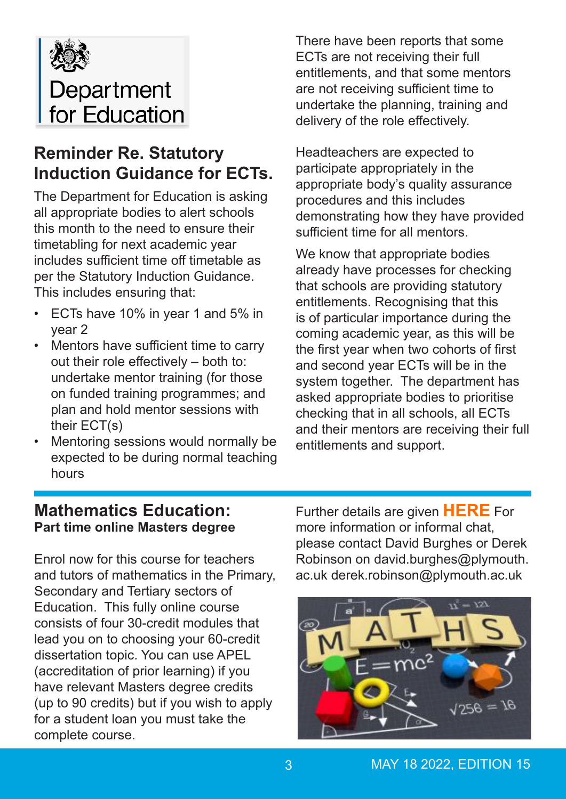

# **Reminder Re. Statutory Induction Guidance for ECTs.**

The Department for Education is asking all appropriate bodies to alert schools this month to the need to ensure their timetabling for next academic year includes sufficient time off timetable as per the Statutory Induction Guidance. This includes ensuring that:

- ECTs have 10% in year 1 and 5% in year 2
- Mentors have sufficient time to carry out their role effectively – both to: undertake mentor training (for those on funded training programmes; and plan and hold mentor sessions with their ECT(s)
- Mentoring sessions would normally be expected to be during normal teaching hours

There have been reports that some ECTs are not receiving their full entitlements, and that some mentors are not receiving sufficient time to undertake the planning, training and delivery of the role effectively.

Headteachers are expected to participate appropriately in the appropriate body's quality assurance procedures and this includes demonstrating how they have provided sufficient time for all mentors.

We know that appropriate bodies already have processes for checking that schools are providing statutory entitlements. Recognising that this is of particular importance during the coming academic year, as this will be the first year when two cohorts of first and second year ECTs will be in the system together. The department has asked appropriate bodies to prioritise checking that in all schools, all ECTs and their mentors are receiving their full entitlements and support.

## **Mathematics Education: Part time online Masters degree**

Enrol now for this course for teachers and tutors of mathematics in the Primary, Secondary and Tertiary sectors of Education. This fully online course consists of four 30-credit modules that lead you on to choosing your 60-credit dissertation topic. You can use APEL (accreditation of prior learning) if you have relevant Masters degree credits (up to 90 credits) but if you wish to apply for a student loan you must take the complete course.

Further details are given **[HERE](https://www.plymouth.ac.uk/courses/postgraduate/ma-mathematics-education)** For more information or informal chat, please contact David Burghes or Derek Robinson on david.burghes@plymouth. ac.uk derek.robinson@plymouth.ac.uk

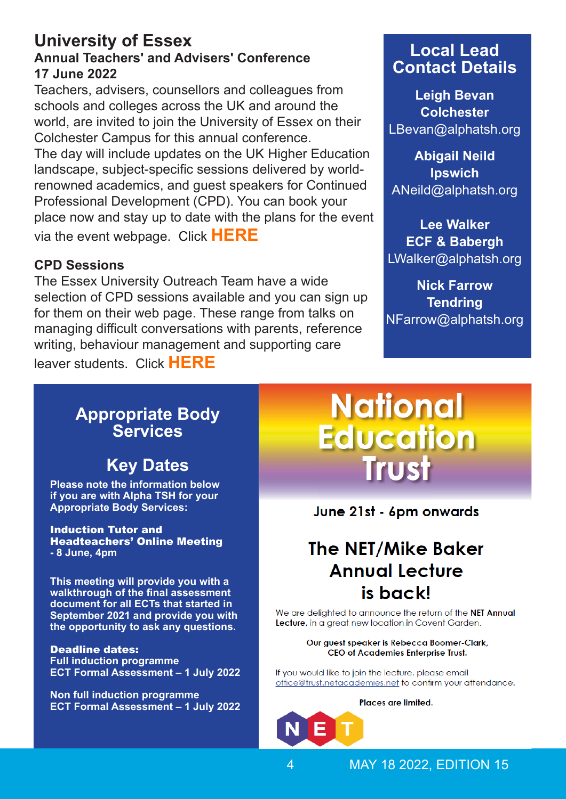### **University of Essex Annual Teachers' and Advisers' Conference 17 June 2022**

Teachers, advisers, counsellors and colleagues from schools and colleges across the UK and around the world, are invited to join the University of Essex on their Colchester Campus for this annual conference.

The day will include updates on the UK Higher Education landscape, subject-specific sessions delivered by worldrenowned academics, and guest speakers for Continued Professional Development (CPD). You can book your place now and stay up to date with the plans for the event via the event webpage. Click **[HERE](https://www.essex.ac.uk/schools-and-colleges/events/annual-teachers-conference)**

### **CPD Sessions**

The Essex University Outreach Team have a wide selection of CPD sessions available and you can sign up for them on their web page. These range from talks on managing difficult conversations with parents, reference writing, behaviour management and supporting care

leaver students. Click **[HERE](https://www.essex.ac.uk/schools-and-colleges/cpd-for-teachers)**

## **Local Lead Contact Details**

**Leigh Bevan Colchester** LBevan@alphatsh.org

**Abigail Neild Ipswich** ANeild@alphatsh.org

**Lee Walker ECF & Babergh** LWalker@alphatsh.org

**Nick Farrow Tendring** NFarrow@alphatsh.org

## **Appropriate Body Services**

# **Key Dates**

**Please note the information below if you are with Alpha TSH for your Appropriate Body Services:**

Induction Tutor and Headteachers' Online Meeting **- 8 June, 4pm** 

**This meeting will provide you with a walkthrough of the final assessment document for all ECTs that started in September 2021 and provide you with the opportunity to ask any questions.** 

Deadline dates: **Full induction programme ECT Formal Assessment – 1 July 2022**

**Non full induction programme ECT Formal Assessment – 1 July 2022**

# **National Education** Trust

June 21st - 6pm onwards

# **The NET/Mike Baker Annual Lecture** is back!

We are delighted to announce the return of the NET Annual Lecture, in a great new location in Covent Garden.

#### Our guest speaker is Rebecca Boomer-Clark, CEO of Academies Enterprise Trust.

If you would like to join the lecture, please email office@trust.netacademies.net to confirm your attendance.

Places are limited.

MAY 18 2022, EDITION 15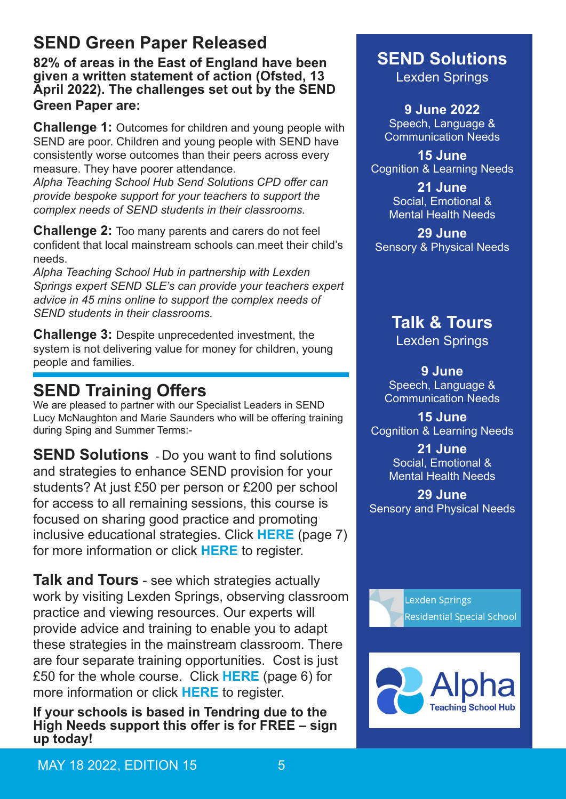# **SEND Green Paper Released**

**82% of areas in the East of England have been given a written statement of action (Ofsted, 13 April 2022). The challenges set out by the SEND Green Paper are:**

**Challenge 1:** Outcomes for children and young people with SEND are poor. Children and young people with SEND have consistently worse outcomes than their peers across every measure. They have poorer attendance.

*Alpha Teaching School Hub Send Solutions CPD offer can provide bespoke support for your teachers to support the complex needs of SEND students in their classrooms.* 

**Challenge 2:** Too many parents and carers do not feel confident that local mainstream schools can meet their child's needs.

*Alpha Teaching School Hub in partnership with Lexden Springs expert SEND SLE's can provide your teachers expert advice in 45 mins online to support the complex needs of SEND students in their classrooms.* 

**Challenge 3:** Despite unprecedented investment, the system is not delivering value for money for children, young people and families.

# **SEND Training Offers**

We are pleased to partner with our Specialist Leaders in SEND Lucy McNaughton and Marie Saunders who will be offering training during Sping and Summer Terms:-

**SEND Solutions** - Do you want to find solutions and strategies to enhance SEND provision for your students? At just £50 per person or £200 per school for access to all remaining sessions, this course is focused on sharing good practice and promoting inclusive educational strategies. Click **[HERE](https://read.bookcreator.com/y9siz771rHSYyEaiURYZ5f9zSGA3/7myo_EeOTyuW8G-eO8oezw)** (page 7) for more information or click **[HERE](https://forms.office.com/Pages/ResponsePage.aspx?id=la3pq0GH7kuhsVbSrAP_KhbgbGKeP31PptyqJXGVtt9UOE4yQzJYSE5BNTJCRlRWNkVBTTFQMzhQRSQlQCN0PWcu)** to register.

**Talk and Tours** - see which strategies actually work by visiting Lexden Springs, observing classroom practice and viewing resources. Our experts will provide advice and training to enable you to adapt these strategies in the mainstream classroom. There are four separate training opportunities. Cost is just £50 for the whole course. Click **[HERE](https://read.bookcreator.com/y9siz771rHSYyEaiURYZ5f9zSGA3/7myo_EeOTyuW8G-eO8oezw)** (page 6) for more information or click **[HERE](https://forms.office.com/Pages/ResponsePage.aspx?id=la3pq0GH7kuhsVbSrAP_KhbgbGKeP31PptyqJXGVtt9UN1lSTlQ1NzZKMkVXNTg0ODNYSlJFT0pCSiQlQCN0PWcu)** to register.

**If your schools is based in Tendring due to the High Needs support this offer is for FREE – sign up today!**

## **SEND Solutions** Lexden Springs

**9 June 2022** Speech, Language & Communication Needs

**15 June**  Cognition & Learning Needs

> **21 June** Social, Emotional & Mental Health Needs

**29 June** Sensory & Physical Needs

# **Talk & Tours**

Lexden Springs

**9 June** Speech, Language & Communication Needs

**15 June**  Cognition & Learning Needs

> **21 June** Social, Emotional & Mental Health Needs

**29 June** Sensory and Physical Needs



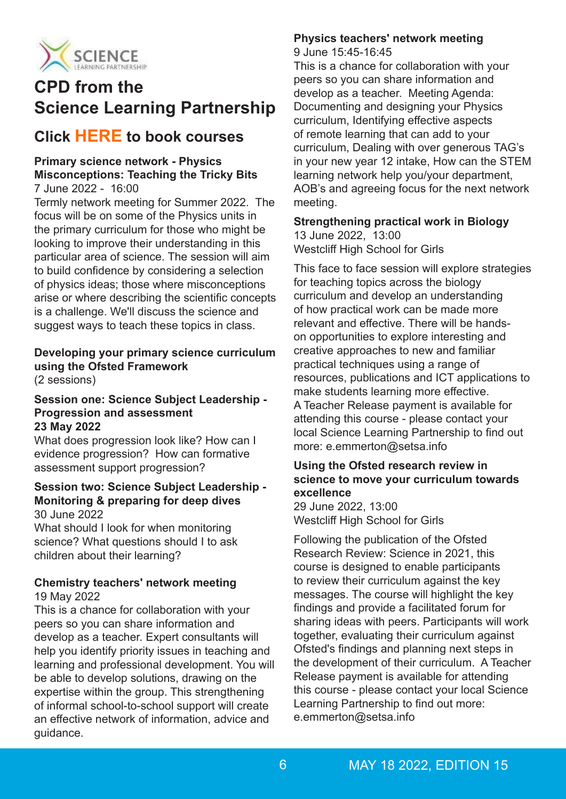

# **CPD from the Science Learning Partnership**

## **Click [HERE](https://www.stem.org.uk/cpd/search?location_op=25&f%255B0%255D=type%3Acourse_occurrence) to book courses**

### **Primary science network - Physics Misconceptions: Teaching the Tricky Bits**

#### 7 June 2022 - 16:00

Termly network meeting for Summer 2022. The focus will be on some of the Physics units in the primary curriculum for those who might be looking to improve their understanding in this particular area of science. The session will aim to build confidence by considering a selection of physics ideas; those where misconceptions arise or where describing the scientific concepts is a challenge. We'll discuss the science and suggest ways to teach these topics in class.

## **Developing your primary science curriculum using the Ofsted Framework**

(2 sessions)

#### **Session one: Science Subject Leadership - Progression and assessment 23 May 2022**

What does progression look like? How can I evidence progression? How can formative assessment support progression?

#### **Session two: Science Subject Leadership - Monitoring & preparing for deep dives** 30 June 2022

What should I look for when monitoring science? What questions should I to ask children about their learning?

#### **Chemistry teachers' network meeting** 19 May 2022

This is a chance for collaboration with your peers so you can share information and develop as a teacher. Expert consultants will help you identify priority issues in teaching and learning and professional development. You will be able to develop solutions, drawing on the expertise within the group. This strengthening of informal school-to-school support will create an effective network of information, advice and guidance.

#### **Physics teachers' network meeting** 9 June 15:45-16:45

This is a chance for collaboration with your peers so you can share information and develop as a teacher. Meeting Agenda: Documenting and designing your Physics curriculum, Identifying effective aspects of remote learning that can add to your curriculum, Dealing with over generous TAG's in your new year 12 intake, How can the STEM learning network help you/your department, AOB's and agreeing focus for the next network meeting.

#### **Strengthening practical work in Biology**

13 June 2022, 13:00 Westcliff High School for Girls

This face to face session will explore strategies for teaching topics across the biology curriculum and develop an understanding of how practical work can be made more relevant and effective. There will be handson opportunities to explore interesting and creative approaches to new and familiar practical techniques using a range of resources, publications and ICT applications to make students learning more effective. A Teacher Release payment is available for attending this course - please contact your local Science Learning Partnership to find out more: e.emmerton@setsa.info

#### **Using the Ofsted research review in science to move your curriculum towards excellence**

29 June 2022, 13:00 Westcliff High School for Girls

Following the publication of the Ofsted Research Review: Science in 2021, this course is designed to enable participants to review their curriculum against the key messages. The course will highlight the key findings and provide a facilitated forum for sharing ideas with peers. Participants will work together, evaluating their curriculum against Ofsted's findings and planning next steps in the development of their curriculum. A Teacher Release payment is available for attending this course - please contact your local Science Learning Partnership to find out more: e.emmerton@setsa.info